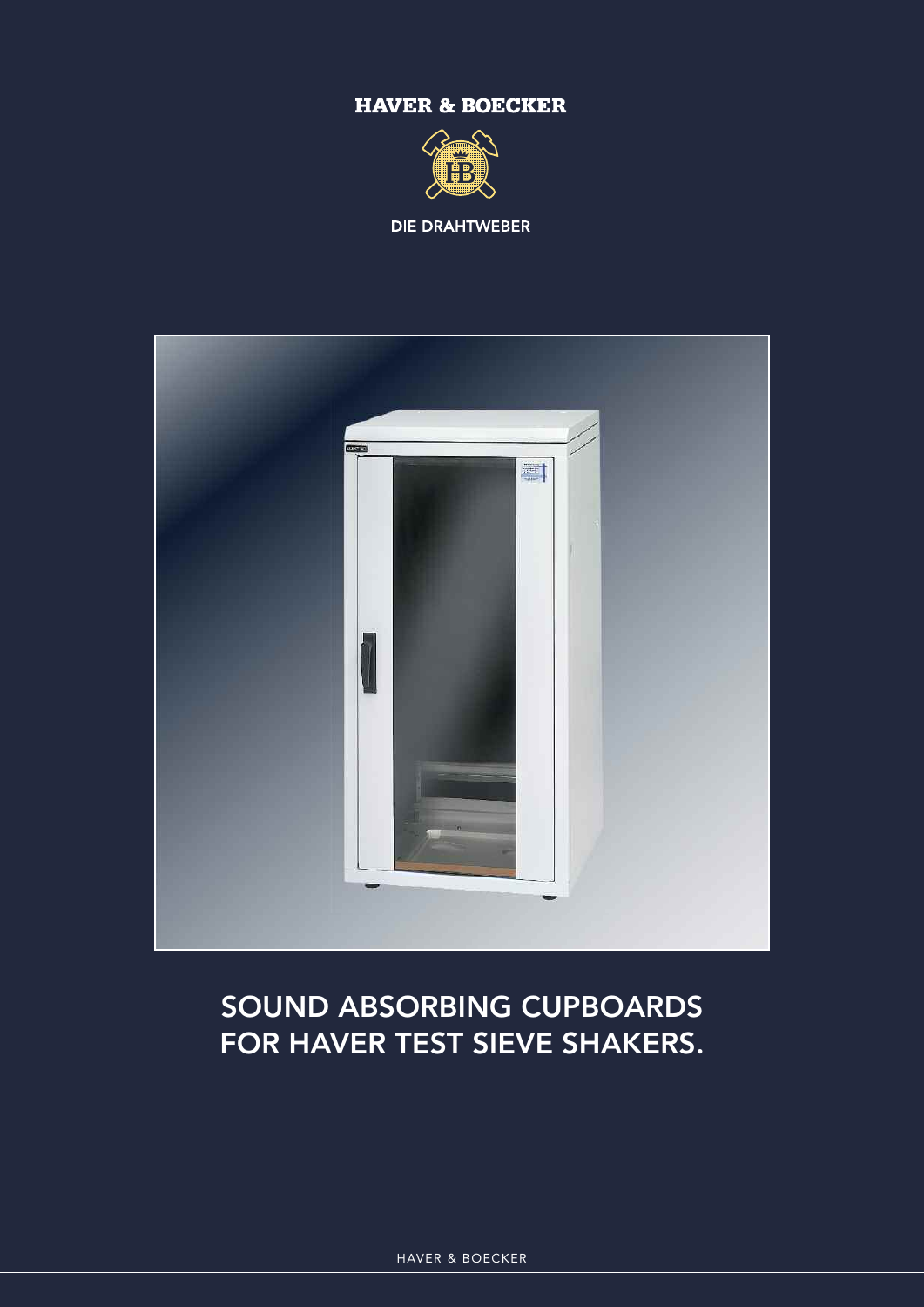### **HAVER & BOECKER**



**DIE DRAHTWEBER** 



## **SOUND ABSORBING CUPBOARDS FOR HAVER TEST SIEVE SHAKERS.**